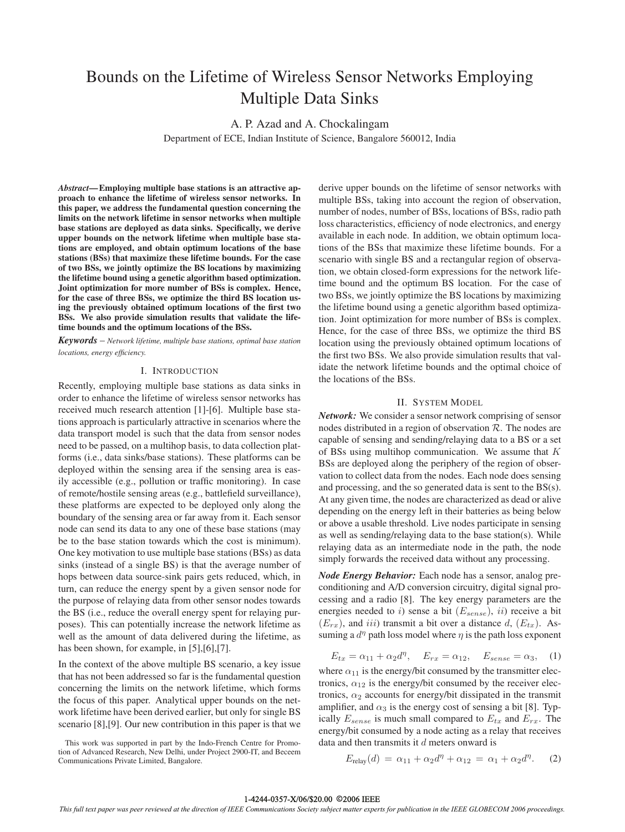# Bounds on the Lifetime of Wireless Sensor Networks Employing Multiple Data Sinks

A. P. Azad and A. Chockalingam

Department of ECE, Indian Institute of Science, Bangalore 560012, India

*Abstract***—Employing multiple base stations is an attractive approach to enhance the lifetime of wireless sensor networks. In this paper, we address the fundamental question concerning the limits on the network lifetime in sensor networks when multiple base stations are deployed as data sinks. Specifically, we derive upper bounds on the network lifetime when multiple base stations are employed, and obtain optimum locations of the base stations (BSs) that maximize these lifetime bounds. For the case of two BSs, we jointly optimize the BS locations by maximizing the lifetime bound using a genetic algorithm based optimization. Joint optimization for more number of BSs is complex. Hence, for the case of three BSs, we optimize the third BS location using the previously obtained optimum locations of the first two BSs. We also provide simulation results that validate the lifetime bounds and the optimum locations of the BSs.**

*Keywords* – *Network lifetime, multiple base stations, optimal base station locations, energy efficiency.*

#### I. INTRODUCTION

Recently, employing multiple base stations as data sinks in order to enhance the lifetime of wireless sensor networks has received much research attention [1]-[6]. Multiple base stations approach is particularly attractive in scenarios where the data transport model is such that the data from sensor nodes need to be passed, on a multihop basis, to data collection platforms (i.e., data sinks/base stations). These platforms can be deployed within the sensing area if the sensing area is easily accessible (e.g., pollution or traffic monitoring). In case of remote/hostile sensing areas (e.g., battlefield surveillance), these platforms are expected to be deployed only along the boundary of the sensing area or far away from it. Each sensor node can send its data to any one of these base stations (may be to the base station towards which the cost is minimum). One key motivation to use multiple base stations (BSs) as data sinks (instead of a single BS) is that the average number of hops between data source-sink pairs gets reduced, which, in turn, can reduce the energy spent by a given sensor node for the purpose of relaying data from other sensor nodes towards the BS (i.e., reduce the overall energy spent for relaying purposes). This can potentially increase the network lifetime as well as the amount of data delivered during the lifetime, as has been shown, for example, in [5], [6], [7].

In the context of the above multiple BS scenario, a key issue that has not been addressed so far is the fundamental question concerning the limits on the network lifetime, which forms the focus of this paper. Analytical upper bounds on the network lifetime have been derived earlier, but only for single BS scenario [8],[9]. Our new contribution in this paper is that we

This work was supported in part by the Indo-French Centre for Promotion of Advanced Research, New Delhi, under Project 2900-IT, and Beceem Communications Private Limited, Bangalore.

derive upper bounds on the lifetime of sensor networks with multiple BSs, taking into account the region of observation, number of nodes, number of BSs, locations of BSs, radio path loss characteristics, efficiency of node electronics, and energy available in each node. In addition, we obtain optimum locations of the BSs that maximize these lifetime bounds. For a scenario with single BS and a rectangular region of observation, we obtain closed-form expressions for the network lifetime bound and the optimum BS location. For the case of two BSs, we jointly optimize the BS locations by maximizing the lifetime bound using a genetic algorithm based optimization. Joint optimization for more number of BSs is complex. Hence, for the case of three BSs, we optimize the third BS location using the previously obtained optimum locations of the first two BSs. We also provide simulation results that validate the network lifetime bounds and the optimal choice of the locations of the BSs.

### II. SYSTEM MODEL

*Network:* We consider a sensor network comprising of sensor nodes distributed in a region of observation R. The nodes are capable of sensing and sending/relaying data to a BS or a set of BSs using multihop communication. We assume that  $K$ BSs are deployed along the periphery of the region of observation to collect data from the nodes. Each node does sensing and processing, and the so generated data is sent to the BS(s). At any given time, the nodes are characterized as dead or alive depending on the energy left in their batteries as being below or above a usable threshold. Live nodes participate in sensing as well as sending/relaying data to the base station(s). While relaying data as an intermediate node in the path, the node simply forwards the received data without any processing.

*Node Energy Behavior:* Each node has a sensor, analog preconditioning and A/D conversion circuitry, digital signal processing and a radio [8]. The key energy parameters are the energies needed to i) sense a bit  $(E_{sense})$ , ii) receive a bit  $(E_{rx})$ , and *iii*) transmit a bit over a distance d,  $(E_{tx})$ . Assuming a  $d^{\eta}$  path loss model where  $\eta$  is the path loss exponent

$$
E_{tx} = \alpha_{11} + \alpha_2 d^n, \quad E_{rx} = \alpha_{12}, \quad E_{sense} = \alpha_3, \quad (1)
$$

where  $\alpha_{11}$  is the energy/bit consumed by the transmitter electronics,  $\alpha_{12}$  is the energy/bit consumed by the receiver electronics,  $\alpha_2$  accounts for energy/bit dissipated in the transmit amplifier, and  $\alpha_3$  is the energy cost of sensing a bit [8]. Typically  $E_{sense}$  is much small compared to  $E_{tx}$  and  $E_{rx}$ . The energy/bit consumed by a node acting as a relay that receives data and then transmits it d meters onward is

$$
E_{\text{relay}}(d) = \alpha_{11} + \alpha_2 d^{\eta} + \alpha_{12} = \alpha_1 + \alpha_2 d^{\eta}.
$$
 (2)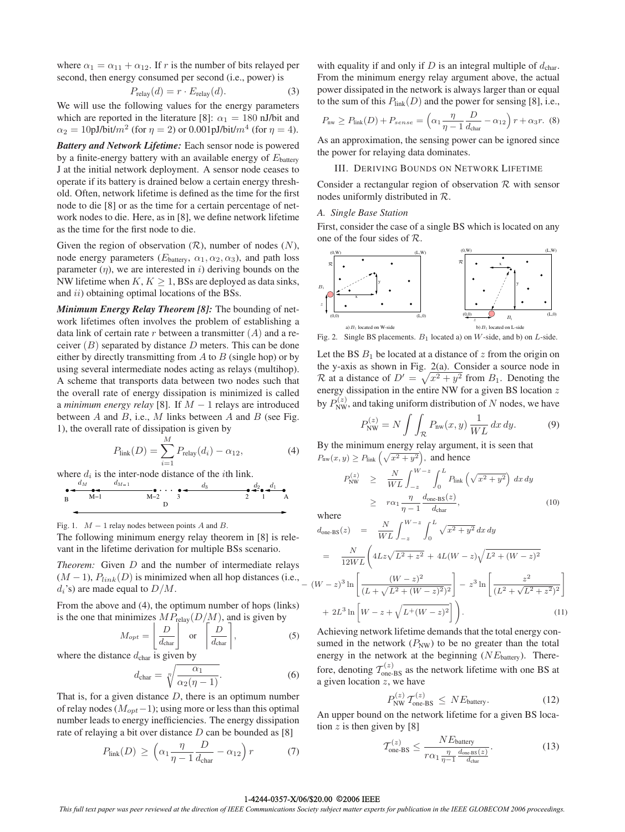where  $\alpha_1 = \alpha_{11} + \alpha_{12}$ . If r is the number of bits relayed per second, then energy consumed per second (i.e., power) is

$$
P_{\text{relay}}(d) = r \cdot E_{\text{relay}}(d). \tag{3}
$$

We will use the following values for the energy parameters which are reported in the literature [8]:  $\alpha_1 = 180$  nJ/bit and  $\alpha_2 = 10$ pJ/bit/ $m^2$  (for  $\eta = 2$ ) or 0.001pJ/bit/ $m^4$  (for  $\eta = 4$ ).

*Battery and Network Lifetime:* Each sensor node is powered by a finite-energy battery with an available energy of  $E<sub>battery</sub>$ J at the initial network deployment. A sensor node ceases to operate if its battery is drained below a certain energy threshold. Often, network lifetime is defined as the time for the first node to die [8] or as the time for a certain percentage of network nodes to die. Here, as in [8], we define network lifetime as the time for the first node to die.

Given the region of observation  $(R)$ , number of nodes  $(N)$ , node energy parameters ( $E_{\text{battery}}$ ,  $\alpha_1, \alpha_2, \alpha_3$ ), and path loss parameter  $(\eta)$ , we are interested in i) deriving bounds on the NW lifetime when  $K, K \geq 1$ , BSs are deployed as data sinks, and  $ii)$  obtaining optimal locations of the BSs.

*Minimum Energy Relay Theorem [8]:* The bounding of network lifetimes often involves the problem of establishing a data link of certain rate r between a transmitter  $(A)$  and a receiver  $(B)$  separated by distance  $D$  meters. This can be done either by directly transmitting from  $A$  to  $B$  (single hop) or by using several intermediate nodes acting as relays (multihop). A scheme that transports data between two nodes such that the overall rate of energy dissipation is minimized is called a *minimum energy relay* [8]. If M − 1 relays are introduced between  $A$  and  $B$ , i.e.,  $M$  links between  $A$  and  $B$  (see Fig. 1), the overall rate of dissipation is given by

$$
P_{\text{link}}(D) = \sum_{i=1}^{M} P_{\text{relay}}(d_i) - \alpha_{12},
$$
 (4)

where  $d_i$  is the inter-node distance of the *i*th link.

$$
B \t\t M \t\t M-1 \t\t M-2 \t\t D
$$

Fig. 1.  $M - 1$  relay nodes between points A and B.

The following minimum energy relay theorem in [8] is relevant in the lifetime derivation for multiple BSs scenario.

*Theorem:* Given *D* and the number of intermediate relays  $(M-1)$ ,  $P_{link}(D)$  is minimized when all hop distances (i.e.,  $d_i$ 's) are made equal to  $D/M$ .

From the above and (4), the optimum number of hops (links) is the one that minimizes  $MP_{\text{relav}}(D/M)$ , and is given by

$$
M_{opt} = \left(\frac{D}{d_{\text{char}}}\right) \text{ or } \left(\frac{D}{d_{\text{char}}}\right),\tag{5}
$$

where the distance  $d_{\text{char}}$  is given by

$$
d_{\text{char}} = \sqrt[n]{\frac{\alpha_1}{\alpha_2(\eta - 1)}}.
$$
 (6)

That is, for a given distance  $D$ , there is an optimum number of relay nodes ( $M_{opt}$ −1); using more or less than this optimal number leads to energy inefficiencies. The energy dissipation rate of relaying a bit over distance  $D$  can be bounded as [8]

$$
P_{\text{link}}(D) \ge \left(\alpha_1 \frac{\eta}{\eta - 1} \frac{D}{d_{\text{char}}} - \alpha_{12}\right) r \tag{7}
$$

with equality if and only if D is an integral multiple of  $d_{\text{char}}$ . From the minimum energy relay argument above, the actual power dissipated in the network is always larger than or equal to the sum of this  $P_{\text{link}}(D)$  and the power for sensing [8], i.e.,

$$
P_{\text{nw}} \ge P_{\text{link}}(D) + P_{sense} = \left(\alpha_1 \frac{\eta}{\eta - 1} \frac{D}{d_{\text{char}}} - \alpha_{12}\right) r + \alpha_3 r. \tag{8}
$$

As an approximation, the sensing power can be ignored since the power for relaying data dominates.

## III. DERIVING BOUNDS ON NETWORK LIFETIME

Consider a rectangular region of observation  $R$  with sensor nodes uniformly distributed in R.

## *A. Single Base Station*

First, consider the case of a single BS which is located on any one of the four sides of R.



Fig. 2. Single BS placements.  $B_1$  located a) on W-side, and b) on L-side.

Let the BS  $B_1$  be located at a distance of z from the origin on the y-axis as shown in Fig.  $2(a)$ . Consider a source node in R at a distance of  $D' = \sqrt{x^2 + y^2}$  from  $B_1$ . Denoting the energy dissipation in the entire NW for a given BS location z by  $P_{\text{NW}}^{(z)}$ , and taking uniform distribution of N nodes, we have

$$
P_{\text{NW}}^{(z)} = N \int \int_{\mathcal{R}} P_{\text{nw}}(x, y) \frac{1}{WL} dx dy.
$$
 (9)

By the minimum energy relay argument, it is seen that  $P_{\text{nw}}(x, y) \ge P_{\text{link}}\left(\sqrt{x^2 + y^2}\right)$ , and hence

$$
P_{\text{NW}}^{(z)} \geq \frac{N}{WL} \int_{-z}^{W-z} \int_{0}^{L} P_{\text{link}} \left( \sqrt{x^2 + y^2} \right) dx dy
$$
  
 
$$
\geq r \alpha_1 \frac{\eta}{\eta - 1} \frac{d_{\text{one-BS}}(z)}{d_{\text{char}}}, \tag{10}
$$

where

$$
d_{\text{one-BS}}(z) = \frac{N}{WL} \int_{-z}^{W-z} \int_{0}^{L} \sqrt{x^2 + y^2} \, dx \, dy
$$
  
\n
$$
= \frac{N}{12WL} \left( 4Lz \sqrt{L^2 + z^2} + 4L(W - z) \sqrt{L^2 + (W - z)^2} \right)
$$
  
\n
$$
- (W - z)^3 \ln \left[ \frac{(W - z)^2}{(L + \sqrt{L^2 + (W - z)^2})^2} \right] - z^3 \ln \left[ \frac{z^2}{(L^2 + \sqrt{L^2 + z^2})^2} \right]
$$
  
\n
$$
+ 2L^3 \ln \left[ W - z + \sqrt{L^2 + (W - z)^2} \right] \right). \tag{11}
$$

Achieving network lifetime demands that the total energy consumed in the network  $(P_{NW})$  to be no greater than the total energy in the network at the beginning  $(NE<sub>battery</sub>)$ . Therefore, denoting  $\mathcal{T}_{one-BS}^{(z)}$  as the network lifetime with one BS at a given location  $z$ , we have

$$
P_{\text{NW}}^{(z)} \mathcal{T}_{\text{one-BS}}^{(z)} \le N E_{\text{battery}}.
$$
 (12)

An upper bound on the network lifetime for a given BS location z is then given by  $[8]$ 

$$
\mathcal{T}_{\text{one-BS}}^{(z)} \le \frac{NE_{\text{battery}}}{r\alpha_1 \frac{\eta}{\eta - 1} \frac{d_{\text{one-BS}}(z)}{d_{\text{char}}}}.\tag{13}
$$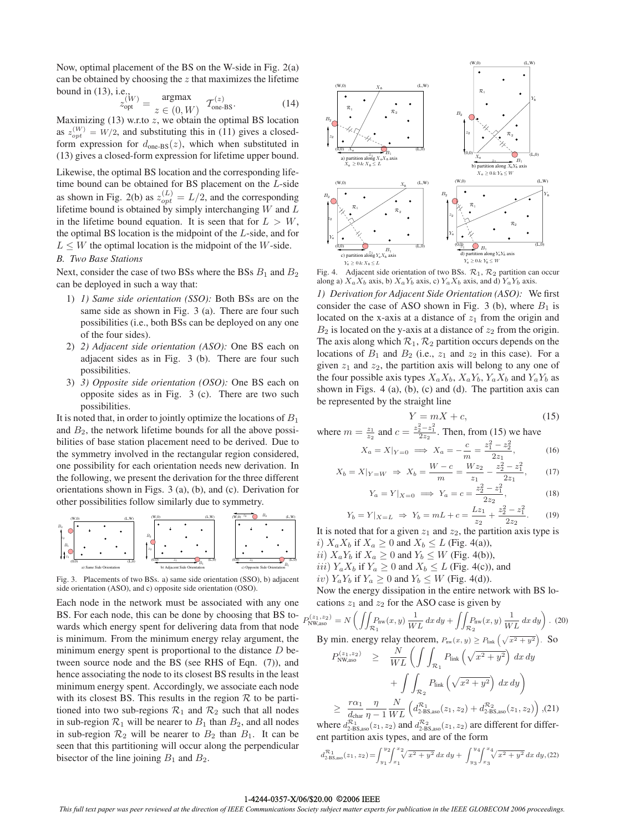Now, optimal placement of the BS on the W-side in Fig. 2(a) can be obtained by choosing the  $z$  that maximizes the lifetime bound in  $(13)$ , i.e.

$$
z_{\text{opt}}^{(W)} = \underset{z \in (0, W)}{\text{argmax}} \quad T_{\text{one-BS}}^{(z)}.
$$
 (14)

Maximizing  $(13)$  w.r.to z, we obtain the optimal BS location as  $z_{opt}^{(W)} = W/2$ , and substituting this in (11) gives a closedform expression for  $d_{one\text{-}BS}(z)$ , which when substituted in (13) gives a closed-form expression for lifetime upper bound.

Likewise, the optimal BS location and the corresponding lifetime bound can be obtained for BS placement on the L-side as shown in Fig. 2(b) as  $z_{\text{opt}}^{(L)} = L/2$ , and the corresponding lifetime bound is obtained by simply interchanging  $\hat{W}$  and  $\hat{L}$ in the lifetime bound equation. It is seen that for  $L > W$ , the optimal BS location is the midpoint of the L-side, and for  $L \leq W$  the optimal location is the midpoint of the W-side. *B. Two Base Stations*

Next, consider the case of two BSs where the BSs  $B_1$  and  $B_2$ can be deployed in such a way that:

- 1) *1) Same side orientation (SSO):* Both BSs are on the same side as shown in Fig. 3 (a). There are four such possibilities (i.e., both BSs can be deployed on any one of the four sides).
- 2) *2) Adjacent side orientation (ASO):* One BS each on adjacent sides as in Fig. 3 (b). There are four such possibilities.
- 3) *3) Opposite side orientation (OSO):* One BS each on opposite sides as in Fig. 3 (c). There are two such possibilities.

It is noted that, in order to jointly optimize the locations of  $B_1$ and  $B_2$ , the network lifetime bounds for all the above possibilities of base station placement need to be derived. Due to the symmetry involved in the rectangular region considered, one possibility for each orientation needs new derivation. In the following, we present the derivation for the three different orientations shown in Figs. 3 (a), (b), and (c). Derivation for other possibilities follow similarly due to symmetry.



Fig. 3. Placements of two BSs. a) same side orientation (SSO), b) adjacent side orientation (ASO), and c) opposite side orientation (OSO).

Each node in the network must be associated with any one BS. For each node, this can be done by choosing that BS towards which energy spent for delivering data from that node is minimum. From the minimum energy relay argument, the minimum energy spent is proportional to the distance  $D$  between source node and the BS (see RHS of Eqn. (7)), and hence associating the node to its closest BS results in the least minimum energy spent. Accordingly, we associate each node with its closest BS. This results in the region  $R$  to be partitioned into two sub-regions  $\mathcal{R}_1$  and  $\mathcal{R}_2$  such that all nodes in sub-region  $\mathcal{R}_1$  will be nearer to  $B_1$  than  $B_2$ , and all nodes in sub-region  $\mathcal{R}_2$  will be nearer to  $B_2$  than  $B_1$ . It can be seen that this partitioning will occur along the perpendicular bisector of the line joining  $B_1$  and  $B_2$ .



Fig. 4. Adjacent side orientation of two BSs.  $\mathcal{R}_1$ ,  $\mathcal{R}_2$  partition can occur along a)  $X_a X_b$  axis, b)  $X_a Y_b$  axis, c)  $Y_a X_b$  axis, and d)  $Y_a Y_b$  axis.

*1) Derivation for Adjacent Side Orientation (ASO):* We first consider the case of ASO shown in Fig. 3 (b), where  $B_1$  is located on the x-axis at a distance of  $z_1$  from the origin and  $B_2$  is located on the y-axis at a distance of  $z_2$  from the origin. The axis along which  $\mathcal{R}_1$ ,  $\mathcal{R}_2$  partition occurs depends on the locations of  $B_1$  and  $B_2$  (i.e.,  $z_1$  and  $z_2$  in this case). For a given  $z_1$  and  $z_2$ , the partition axis will belong to any one of the four possible axis types  $X_a X_b$ ,  $X_a Y_b$ ,  $Y_a X_b$  and  $Y_a Y_b$  as shown in Figs. 4 (a), (b), (c) and (d). The partition axis can be represented by the straight line

$$
Y = mX + c,\t\t(15)
$$

where  $m = \frac{z_1}{z_2}$  and  $c = \frac{z_2^2 - z_1^2}{2z_2}$ . Then, from (15) we have

$$
X_a = X|_{Y=0} \implies X_a = -\frac{c}{m} = \frac{z_1^2 - z_2^2}{2z_1},
$$
(16)

$$
X_b = X|_{Y=W} \Rightarrow X_b = \frac{W-c}{m} = \frac{Wz_2}{z_1} - \frac{z_2^2 - z_1^2}{z_2 z_1},\qquad(17)
$$

$$
Y_a = Y|_{X=0} \implies Y_a = c = \frac{z_2^2 - z_1^2}{2z_2},
$$
(18)

$$
Y_b = Y|_{X=L} \Rightarrow Y_b = mL + c = \frac{Lz_1}{z_2} + \frac{z_2^2 - z_1^2}{2z_2}.
$$
 (19)

It is noted that for a given  $z_1$  and  $z_2$ , the partition axis type is i)  $X_a X_b$  if  $X_a \geq 0$  and  $X_b \leq L$  (Fig. 4(a)),

ii)  $X_a Y_b$  if  $X_a \geq 0$  and  $Y_b \leq W$  (Fig. 4(b)),

*iii*)  $Y_a X_b$  if  $Y_a \ge 0$  and  $X_b \le L$  (Fig. 4(c)), and

iv)  $Y_a Y_b$  if  $Y_a \geq 0$  and  $Y_b \leq W$  (Fig. 4(d)).

Now the energy dissipation in the entire network with BS locations  $z_1$  and  $z_2$  for the ASO case is given by

$$
P_{\text{NW,aso}}^{(z_1, z_2)} = N \left( \iint_{\mathcal{R}_1} P_{\text{nw}}(x, y) \, \frac{1}{WL} \, dx \, dy + \iint_{\mathcal{R}_2} P_{\text{nw}}(x, y) \, \frac{1}{WL} \, dx \, dy \right). \tag{20}
$$

By min. energy relay theorem,  $P_{\text{nw}}(x, y) \ge P_{\text{link}}\left(\sqrt{x^2 + y^2}\right)$ . So

$$
P_{\text{NW,aso}}^{(z_1, z_2)} \geq \frac{N}{WL} \left( \int \int_{\mathcal{R}_1} P_{\text{link}} \left( \sqrt{x^2 + y^2} \right) dx dy \right) + \int \int_{\mathcal{R}_2} P_{\text{link}} \left( \sqrt{x^2 + y^2} \right) dx dy \right) \geq \frac{r \alpha_1}{d_{\text{char}}} \frac{\eta}{\eta - 1} \frac{N}{WL} \left( d_{2\text{-BS,aso}}^{R_1}(z_1, z_2) + d_{2\text{-BS,aso}}^{R_2}(z_1, z_2) \right), (2)
$$

,(21)

 $≤$   $\frac{d_{\text{char}}}{d_{\text{char}}}$   $\frac{1}{\eta - 1}$   $\frac{W}{W}$  ( $\frac{u_{\text{2-BS,aso}}(21, 22) + u_{\text{2-BS,aso}}(21, 22)}{w}$ ), (21)<br>where  $d_{\text{2-BS,aso}}^{R_1}(z_1, z_2)$  and  $d_{\text{2-BS,aso}}^{R_2}(z_1, z_2)$  are different for different partition axis types, and are of the form

$$
d_{2\text{-BS,aso}}^{R_1}(z_1, z_2) = \int_{y_1}^{y_2} \int_{x_1}^{x_2} \sqrt{x^2 + y^2} \, dx \, dy + \int_{y_3}^{y_4} \int_{x_3}^{x_4} \sqrt{x^2 + y^2} \, dx \, dy, \text{(22)}
$$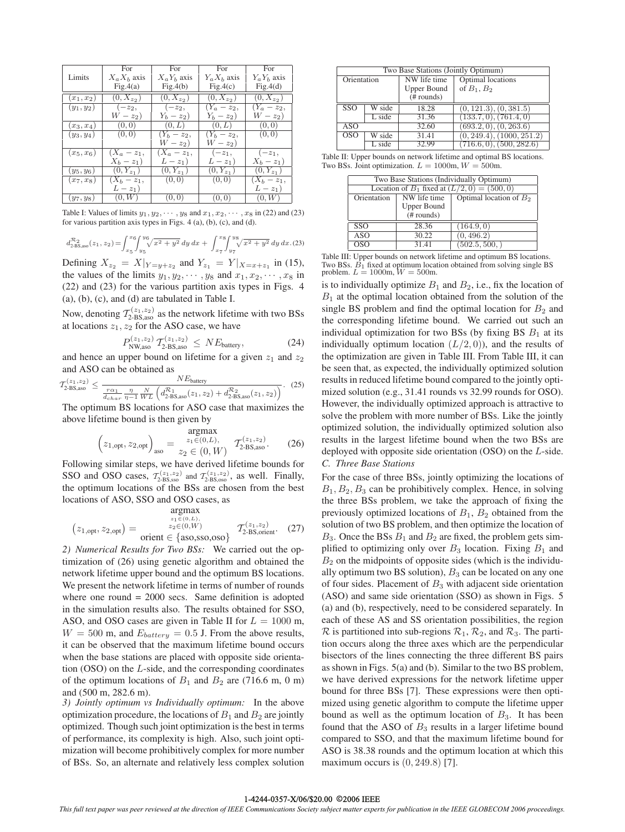|              | For            | For            | For            | For            |
|--------------|----------------|----------------|----------------|----------------|
| Limits       | $X_a X_b$ axis | $X_a Y_b$ axis | $Y_a X_b$ axis | $Y_a Y_b$ axis |
|              | Fig.4(a)       | Fig.4(b)       | Fig.4(c)       | Fig.4(d)       |
| $(x_1, x_2)$ | $(0, X_{z_2})$ | $(0, X_{z_2})$ | $(0, X_{z_2})$ | $(0, X_{z_2})$ |
| $(y_1, y_2)$ | $(-z_2,$       | $(-z_2,$       | $(Y_a - z_2,$  | $(Y_a - z_2,$  |
|              | $W-z_2$ )      | $Y_b - z_2$    | $Y_b - z_2$    | $W-z_2$ )      |
| $(x_3, x_4)$ | (0,0)          | (0,L)          | (0,L)          | (0,0)          |
| $(y_3, y_4)$ | (0, 0)         | $(Y_b - z_2,$  | $(Y_b - z_2,$  | (0, 0)         |
|              |                | $W-z_2$ )      | $W-z_2$ )      |                |
| $(x_5, x_6)$ | $(X_a-z_1,$    | $(X_a-z_1,$    | $(-z_1,$       | $(-z_1,$       |
|              | $X_b-z_1$ )    | $L-z_1$ )      | $L-z_1$ )      | $X_b-z_1$      |
| $(y_5, y_6)$ | $(0, Y_{z_1})$ | $(0, Y_{z_1})$ | $(0, Y_{z_1})$ | $(0, Y_{z_1})$ |
| $(x_7, x_8)$ | $(X_b-z_1,$    | (0, 0)         | (0,0)          | $(X_b-z_1,$    |
|              | $L-z_1$ )      |                |                | $L-z_1$ )      |
| $(y_7, y_8)$ | (0, W)         | (0, 0)         | (0, 0)         | (0, W)         |

Table I: Values of limits  $y_1, y_2, \dots, y_8$  and  $x_1, x_2, \dots, x_8$  in (22) and (23) for various partition axis types in Figs.  $4$  (a), (b), (c), and (d).

$$
d_{2-{\rm BS, aso}}^{R_2}(z_1, z_2) = \int_{x_5}^{x_6} \int_{y_5}^{y_6} \sqrt{x^2 + y^2} \, dy \, dx + \int_{x_7}^{x_8} \int_{y_7}^{y_8} \sqrt{x^2 + y^2} \, dy \, dx. \tag{23}
$$

Defining  $X_{z_2} = X|_{Y=y+z_2}$  and  $Y_{z_1} = Y|_{X=x+z_1}$  in (15), the values of the limits  $y_1, y_2, \dots, y_8$  and  $x_1, x_2, \dots, x_8$  in (22) and (23) for the various partition axis types in Figs. 4 (a), (b), (c), and (d) are tabulated in Table I.

Now, denoting  $\mathcal{T}_{2-\text{BS,aso}}^{(z_1,z_2)}$  as the network lifetime with two BSs at locations  $z_1, z_2$  for the ASO case, we have

$$
P_{\text{NW,aso}}^{(z_1, z_2)} T_{\text{2-BS,aso}}^{(z_1, z_2)} \leq N E_{\text{battery}},\tag{24}
$$

and hence an upper bound on lifetime for a given  $z_1$  and  $z_2$ and ASO can be obtained as

$$
\mathcal{T}^{(z_1, z_2)}_{\text{2-BS,aso}} \le \frac{NE_{\text{battery}}}{\frac{r\alpha_1}{d_{char}} \frac{\eta}{\eta - 1} \frac{N}{WL} \left( d_{\text{2-BS,aso}}^{\mathcal{R}_1}(z_1, z_2) + d_{\text{2-BS,aso}}^{\mathcal{R}_2}(z_1, z_2) \right)}.
$$
 (25)

The optimum BS locations for ASO case that maximizes the above lifetime bound is then given by

$$
\left(z_{1,\text{opt}}, z_{2,\text{opt}}\right)_{\text{aso}} = \underset{z_2 \in (0, W)}{\underset{z_1 \in (0, L)}{\text{argmax}}} T_{2\text{-BS,aso}}^{(z_1, z_2)}.
$$
 (26)

Following similar steps, we have derived lifetime bounds for SSO and OSO cases,  $\tau_{\text{2-BS,iso}}^{(z_1,z_2)}$  and  $\tau_{\text{2-BS,oso}}^{(z_1,z_2)}$ , as well. Finally, the optimum locations of the BSs are chosen from the best locations of ASO, SSO and OSO cases, as

$$
(z_{1, \text{opt}}, z_{2, \text{opt}}) = \underset{\text{orient} \in \{380,880,080\}}{\underset{z_2 \in (0, U)}{\operatorname{argmax}}} \quad \text{${\tau_{1} \in (0, L)},$} \quad \text{${\tau_{2} \in (21, z_{2})}$} \quad (27)
$$

*2) Numerical Results for Two BSs:* We carried out the optimization of (26) using genetic algorithm and obtained the network lifetime upper bound and the optimum BS locations. We present the network lifetime in terms of number of rounds where one round  $= 2000$  secs. Same definition is adopted in the simulation results also. The results obtained for SSO, ASO, and OSO cases are given in Table II for  $L = 1000$  m,  $W = 500$  m, and  $E_{battery} = 0.5$  J. From the above results, it can be observed that the maximum lifetime bound occurs when the base stations are placed with opposite side orientation (OSO) on the L-side, and the corresponding coordinates of the optimum locations of  $B_1$  and  $B_2$  are (716.6 m, 0 m) and (500 m, 282.6 m).

*3) Jointly optimum vs Individually optimum:* In the above optimization procedure, the locations of  $B_1$  and  $B_2$  are jointly optimized. Though such joint optimization is the best in terms of performance, its complexity is high. Also, such joint optimization will become prohibitively complex for more number of BSs. So, an alternate and relatively less complex solution

| Two Base Stations (Jointly Optimum) |          |                    |                           |  |  |
|-------------------------------------|----------|--------------------|---------------------------|--|--|
| Orientation                         |          | NW life time       | Optimal locations         |  |  |
|                                     |          | <b>Upper Bound</b> | of $B_1, B_2$             |  |  |
|                                     |          | $(\#$ rounds)      |                           |  |  |
| <b>SSO</b>                          | W side   | 18.28              | (0, 121.3), (0, 381.5)    |  |  |
|                                     | $L$ side | 31.36              | (133.7, 0), (761.4, 0)    |  |  |
| ASO                                 |          | 32.60              | (693.2, 0), (0, 263.6)    |  |  |
| OSO                                 | W side   | 31.41              | (0, 249.4), (1000, 251.2) |  |  |
|                                     | $L$ side | 32.99              | (716.6, 0), (500, 282.6)  |  |  |

Table II: Upper bounds on network lifetime and optimal BS locations. Two BSs. Joint optimization.  $L = 1000$ m,  $W = 500$ m.

| Two Base Stations (Individually Optimum)         |                    |                           |  |  |  |
|--------------------------------------------------|--------------------|---------------------------|--|--|--|
| Location of $B_1$ fixed at $(L/2, 0) = (500, 0)$ |                    |                           |  |  |  |
| Orientation                                      | NW life time       | Optimal location of $B_2$ |  |  |  |
|                                                  | <b>Upper Bound</b> |                           |  |  |  |
|                                                  | $(\#$ rounds)      |                           |  |  |  |
| <b>SSO</b>                                       | 28.36              | (164.9, 0)                |  |  |  |
| ASO                                              | 30.22              | (0, 496.2)                |  |  |  |
| $\overline{OSO}$                                 | 31.41              | (502.5, 500, )            |  |  |  |

Table III: Upper bounds on network lifetime and optimum BS locations. Two BSs.  $\overline{B_1}$  fixed at optimum location obtained from solving single BS problem.  $L = 1000$ m,  $W = 500$ m.

is to individually optimize  $B_1$  and  $B_2$ , i.e., fix the location of  $B_1$  at the optimal location obtained from the solution of the single BS problem and find the optimal location for  $B_2$  and the corresponding lifetime bound. We carried out such an individual optimization for two BSs (by fixing BS  $B_1$  at its individually optimum location  $(L/2, 0)$ , and the results of the optimization are given in Table III. From Table III, it can be seen that, as expected, the individually optimized solution results in reduced lifetime bound compared to the jointly optimized solution (e.g., 31.41 rounds vs 32.99 rounds for OSO). However, the individually optimized approach is attractive to solve the problem with more number of BSs. Like the jointly optimized solution, the individually optimized solution also results in the largest lifetime bound when the two BSs are deployed with opposite side orientation (OSO) on the L-side. *C. Three Base Stations*

For the case of three BSs, jointly optimizing the locations of  $B_1, B_2, B_3$  can be prohibitively complex. Hence, in solving the three BSs problem, we take the approach of fixing the previously optimized locations of  $B_1$ ,  $B_2$  obtained from the solution of two BS problem, and then optimize the location of  $B_3$ . Once the BSs  $B_1$  and  $B_2$  are fixed, the problem gets simplified to optimizing only over  $B_3$  location. Fixing  $B_1$  and  $B<sub>2</sub>$  on the midpoints of opposite sides (which is the individually optimum two BS solution),  $B_3$  can be located on any one of four sides. Placement of  $B_3$  with adjacent side orientation (ASO) and same side orientation (SSO) as shown in Figs. 5 (a) and (b), respectively, need to be considered separately. In each of these AS and SS orientation possibilities, the region  $\mathcal R$  is partitioned into sub-regions  $\mathcal R_1, \mathcal R_2$ , and  $\mathcal R_3$ . The partition occurs along the three axes which are the perpendicular bisectors of the lines connecting the three different BS pairs as shown in Figs. 5(a) and (b). Similar to the two BS problem, we have derived expressions for the network lifetime upper bound for three BSs [7]. These expressions were then optimized using genetic algorithm to compute the lifetime upper bound as well as the optimum location of  $B_3$ . It has been found that the ASO of  $B_3$  results in a larger lifetime bound compared to SSO, and that the maximum lifetime bound for ASO is 38.38 rounds and the optimum location at which this maximum occurs is  $(0, 249.8)$  [7].